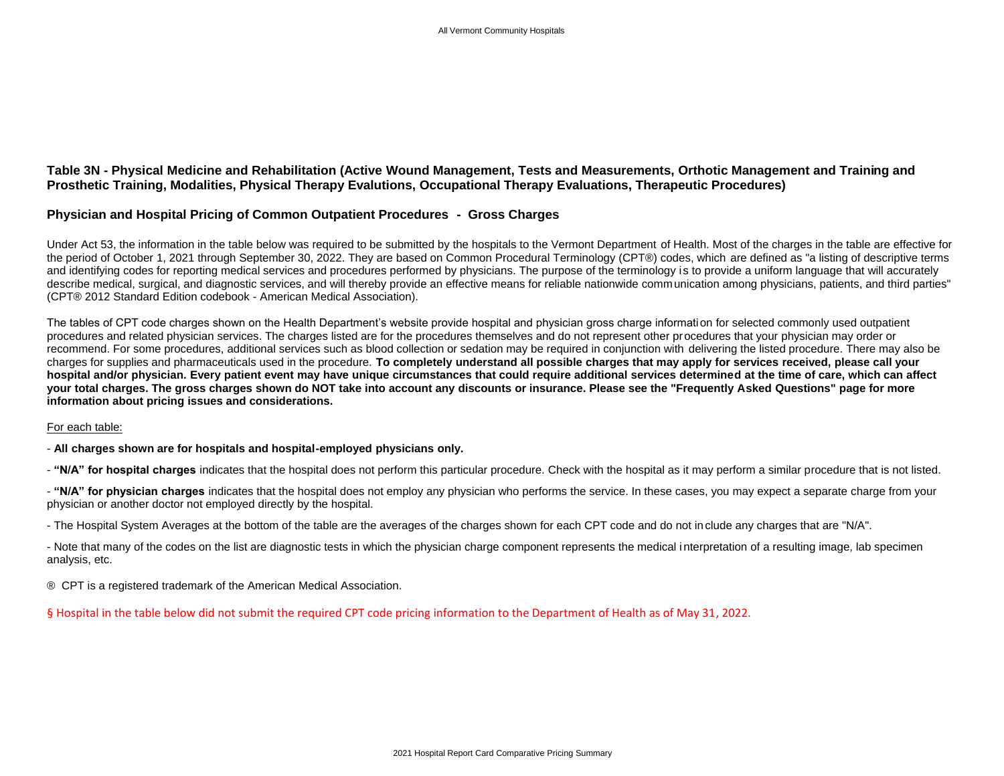## **Table 3N - Physical Medicine and Rehabilitation (Active Wound Management, Tests and Measurements, Orthotic Management and Training and Prosthetic Training, Modalities, Physical Therapy Evalutions, Occupational Therapy Evaluations, Therapeutic Procedures)**

## **Physician and Hospital Pricing of Common Outpatient Procedures - Gross Charges**

Under Act 53, the information in the table below was required to be submitted by the hospitals to the Vermont Department of Health. Most of the charges in the table are effective for the period of October 1, 2021 through September 30, 2022. They are based on Common Procedural Terminology (CPT®) codes, which are defined as "a listing of descriptive terms and identifying codes for reporting medical services and procedures performed by physicians. The purpose of the terminology is to provide a uniform language that will accurately describe medical, surgical, and diagnostic services, and will thereby provide an effective means for reliable nationwide communication among physicians, patients, and third parties" (CPT® 2012 Standard Edition codebook - American Medical Association).

The tables of CPT code charges shown on the Health Department's website provide hospital and physician gross charge information for selected commonly used outpatient procedures and related physician services. The charges listed are for the procedures themselves and do not represent other procedures that your physician may order or recommend. For some procedures, additional services such as blood collection or sedation may be required in conjunction with delivering the listed procedure. There may also be charges for supplies and pharmaceuticals used in the procedure. **To completely understand all possible charges that may apply for services received, please call your hospital and/or physician. Every patient event may have unique circumstances that could require additional services determined at the time of care, which can affect your total charges. The gross charges shown do NOT take into account any discounts or insurance. Please see the "Frequently Asked Questions" page for more information about pricing issues and considerations.**

## For each table:

- **All charges shown are for hospitals and hospital-employed physicians only.**

- "N/A" for hospital charges indicates that the hospital does not perform this particular procedure. Check with the hospital as it may perform a similar procedure that is not listed.

- "N/A" for physician charges indicates that the hospital does not employ any physician who performs the service. In these cases, you may expect a separate charge from your physician or another doctor not employed directly by the hospital.

- The Hospital System Averages at the bottom of the table are the averages of the charges shown for each CPT code and do not in clude any charges that are "N/A".

- Note that many of the codes on the list are diagnostic tests in which the physician charge component represents the medical interpretation of a resulting image, lab specimen analysis, etc.

® CPT is a registered trademark of the American Medical Association.

§ Hospital in the table below did not submit the required CPT code pricing information to the Department of Health as of May 31, 2022.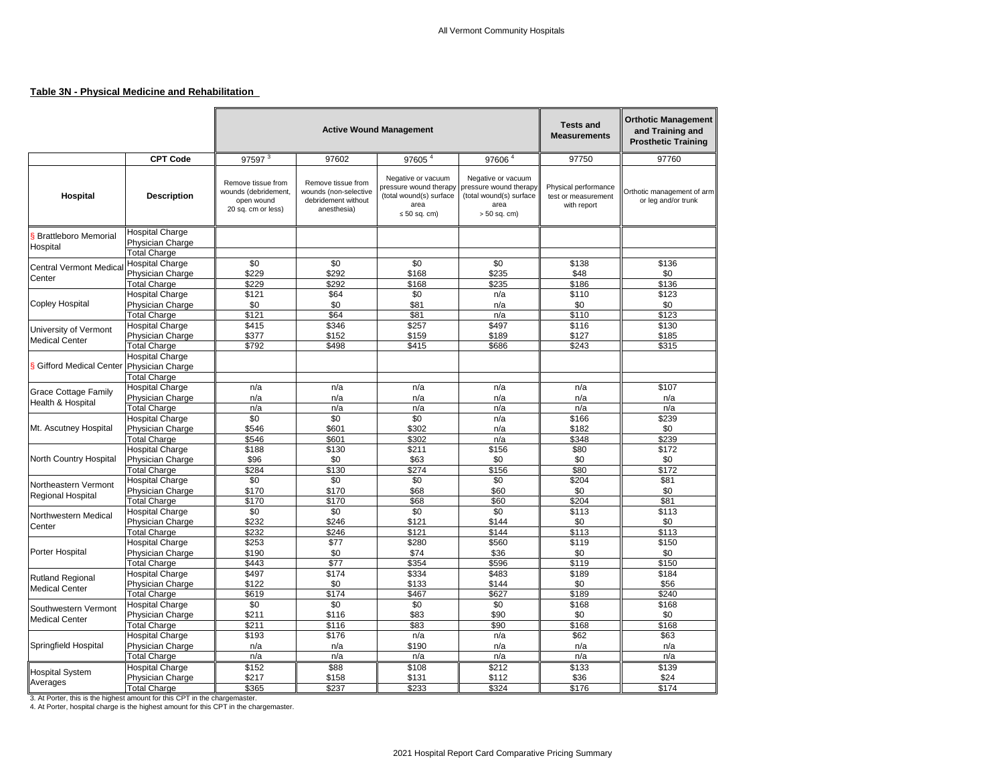## **Table 3N - Physical Medicine and Rehabilitation**

|                                                                            |                                            |                                                                                | <b>Active Wound Management</b>                                                    | <b>Tests and</b><br><b>Measurements</b>                                                              | <b>Orthotic Management</b><br>and Training and<br><b>Prosthetic Training</b>                      |                                                            |                                                   |
|----------------------------------------------------------------------------|--------------------------------------------|--------------------------------------------------------------------------------|-----------------------------------------------------------------------------------|------------------------------------------------------------------------------------------------------|---------------------------------------------------------------------------------------------------|------------------------------------------------------------|---------------------------------------------------|
|                                                                            | <b>CPT Code</b>                            | 97597 <sup>3</sup>                                                             | 97602                                                                             | 97605 <sup>4</sup>                                                                                   | 97606 <sup>4</sup>                                                                                | 97750                                                      | 97760                                             |
| <b>Hospital</b>                                                            | <b>Description</b>                         | Remove tissue from<br>wounds (debridement,<br>open wound<br>20 sq. cm or less) | Remove tissue from<br>wounds (non-selective<br>debridement without<br>anesthesia) | Negative or vacuum<br>pressure wound therapy<br>(total wound(s) surface<br>area<br>$\leq 50$ sq. cm) | Negative or vacuum<br>pressure wound therapy<br>(total wound(s) surface<br>area<br>$> 50$ sq. cm) | Physical performance<br>test or measurement<br>with report | Orthotic management of arm<br>or leg and/or trunk |
| <b>Brattleboro Memorial</b><br>Hospital                                    | <b>Hospital Charge</b><br>Physician Charge |                                                                                |                                                                                   |                                                                                                      |                                                                                                   |                                                            |                                                   |
|                                                                            | <b>Total Charge</b>                        |                                                                                |                                                                                   | \$0                                                                                                  |                                                                                                   |                                                            |                                                   |
| <b>Central Vermont Medica</b>                                              | <b>Hospital Charge</b>                     | \$0<br>\$229                                                                   | \$0<br>\$292                                                                      |                                                                                                      | \$0<br>\$235                                                                                      | \$138                                                      | \$136<br>\$0                                      |
| Center                                                                     | Physician Charge<br><b>Total Charge</b>    | \$229                                                                          | \$292                                                                             | \$168<br>\$168                                                                                       | \$235                                                                                             | \$48<br>\$186                                              | \$136                                             |
|                                                                            | <b>Hospital Charge</b>                     | \$121                                                                          | \$64                                                                              | \$0                                                                                                  | n/a                                                                                               | \$110                                                      | \$123                                             |
| <b>Copley Hospital</b>                                                     | Physician Charge                           | \$0                                                                            | \$0                                                                               | \$81                                                                                                 | n/a                                                                                               | \$0                                                        | \$0                                               |
|                                                                            | <b>Total Charge</b>                        | \$121                                                                          | \$64                                                                              | \$81                                                                                                 | n/a                                                                                               | \$110                                                      | \$123                                             |
|                                                                            | <b>Hospital Charge</b>                     | \$415                                                                          | \$346                                                                             | \$257                                                                                                | \$497                                                                                             | \$116                                                      | \$130                                             |
| University of Vermont                                                      | Physician Charge                           | \$377                                                                          | \$152                                                                             | \$159                                                                                                | \$189                                                                                             | \$127                                                      | \$185                                             |
| <b>Medical Center</b>                                                      | <b>Total Charge</b>                        | \$792                                                                          | \$498                                                                             | \$415                                                                                                | \$686                                                                                             | \$243                                                      | \$315                                             |
| S Gifford Medical Center                                                   | <b>Hospital Charge</b><br>Physician Charge |                                                                                |                                                                                   |                                                                                                      |                                                                                                   |                                                            |                                                   |
|                                                                            | <b>Total Charge</b>                        |                                                                                |                                                                                   |                                                                                                      |                                                                                                   |                                                            |                                                   |
| <b>Grace Cottage Family</b>                                                | <b>Hospital Charge</b>                     | n/a                                                                            | n/a                                                                               | n/a                                                                                                  | n/a                                                                                               | n/a                                                        | \$107                                             |
| Health & Hospital                                                          | Physician Charge<br><b>Total Charge</b>    | n/a<br>n/a                                                                     | n/a<br>n/a                                                                        | n/a<br>n/a                                                                                           | n/a<br>n/a                                                                                        | n/a<br>n/a                                                 | n/a<br>n/a                                        |
|                                                                            | <b>Hospital Charge</b>                     | \$0                                                                            | \$0                                                                               | \$0                                                                                                  | n/a                                                                                               | \$166                                                      | \$239                                             |
| Mt. Ascutney Hospital                                                      | Physician Charge                           | \$546                                                                          | \$601                                                                             | \$302                                                                                                | n/a                                                                                               | \$182                                                      | \$0                                               |
|                                                                            | <b>Total Charge</b>                        | \$546                                                                          | \$601                                                                             | \$302                                                                                                | n/a                                                                                               | \$348                                                      | \$239                                             |
|                                                                            | <b>Hospital Charge</b>                     | \$188                                                                          | \$130                                                                             | \$211                                                                                                | \$156                                                                                             | \$80                                                       | \$172                                             |
| North Country Hospital                                                     | Physician Charge                           | \$96                                                                           | \$0                                                                               | \$63                                                                                                 | \$0                                                                                               | \$0                                                        | \$0                                               |
|                                                                            | <b>Total Charge</b>                        | \$284                                                                          | \$130                                                                             | \$274                                                                                                | \$156                                                                                             | \$80                                                       | \$172                                             |
| Northeastern Vermont                                                       | <b>Hospital Charge</b>                     | \$0                                                                            | \$0                                                                               | \$0                                                                                                  | \$0                                                                                               | \$204                                                      | \$81                                              |
| <b>Regional Hospital</b>                                                   | Physician Charge                           | \$170                                                                          | \$170                                                                             | \$68                                                                                                 | \$60                                                                                              | \$0                                                        | \$0                                               |
|                                                                            | <b>Total Charge</b>                        | \$170                                                                          | \$170                                                                             | \$68                                                                                                 | \$60                                                                                              | \$204                                                      | \$81                                              |
| Northwestern Medical                                                       | <b>Hospital Charge</b>                     | \$0                                                                            | \$0                                                                               | \$0                                                                                                  | \$0                                                                                               | \$113                                                      | \$113                                             |
| Center                                                                     | Physician Charge                           | \$232                                                                          | \$246                                                                             | \$121                                                                                                | \$144                                                                                             | \$0                                                        | \$0                                               |
|                                                                            | <b>Total Charge</b>                        | \$232                                                                          | \$246                                                                             | \$121                                                                                                | \$144                                                                                             | \$113                                                      | \$113                                             |
| Porter Hospital                                                            | <b>Hospital Charge</b><br>Physician Charge | \$253<br>\$190                                                                 | \$77<br>\$0                                                                       | \$280<br>\$74                                                                                        | \$560<br>\$36                                                                                     | \$119<br>\$0                                               | \$150<br>\$0                                      |
|                                                                            | <b>Total Charge</b>                        | \$443                                                                          | \$77                                                                              | \$354                                                                                                | \$596                                                                                             | \$119                                                      | \$150                                             |
|                                                                            | <b>Hospital Charge</b>                     | \$497                                                                          | \$174                                                                             | \$334                                                                                                | \$483                                                                                             | \$189                                                      | \$184                                             |
| <b>Rutland Regional</b>                                                    | Physician Charge                           | \$122                                                                          | \$0                                                                               | \$133                                                                                                | \$144                                                                                             | \$0                                                        | \$56                                              |
| <b>Medical Center</b>                                                      | <b>Total Charge</b>                        | \$619                                                                          | \$174                                                                             | \$467                                                                                                | \$627                                                                                             | \$189                                                      | \$240                                             |
|                                                                            | <b>Hospital Charge</b>                     | \$0                                                                            | \$0                                                                               | \$0                                                                                                  | \$0                                                                                               | \$168                                                      | \$168                                             |
| Southwestern Vermont                                                       | Physician Charge                           | \$211                                                                          | \$116                                                                             | \$83                                                                                                 | \$90                                                                                              | \$0                                                        | \$0                                               |
| <b>Medical Center</b>                                                      | <b>Total Charge</b>                        | \$211                                                                          | \$116                                                                             | \$83                                                                                                 | \$90                                                                                              | \$168                                                      | \$168                                             |
|                                                                            | <b>Hospital Charge</b>                     | \$193                                                                          | \$176                                                                             | n/a                                                                                                  | n/a                                                                                               | \$62                                                       | \$63                                              |
| Springfield Hospital                                                       | Physician Charge                           | n/a                                                                            | n/a                                                                               | \$190                                                                                                | n/a                                                                                               | n/a                                                        | n/a                                               |
|                                                                            | <b>Total Charge</b>                        | n/a                                                                            | n/a                                                                               | n/a                                                                                                  | n/a                                                                                               | n/a                                                        | n/a                                               |
| <b>Hospital System</b>                                                     | <b>Hospital Charge</b>                     | \$152                                                                          | \$88                                                                              | \$108                                                                                                | \$212                                                                                             | \$133                                                      | \$139                                             |
| Averages                                                                   | Physician Charge                           | \$217                                                                          | \$158                                                                             | \$131                                                                                                | \$112                                                                                             | \$36                                                       | \$24                                              |
| 3. At Porter, this is the highest amount for this CPT in the chargemaster. | <b>Total Charge</b>                        | \$365                                                                          | \$237                                                                             | \$233                                                                                                | \$324                                                                                             | \$176                                                      | \$174                                             |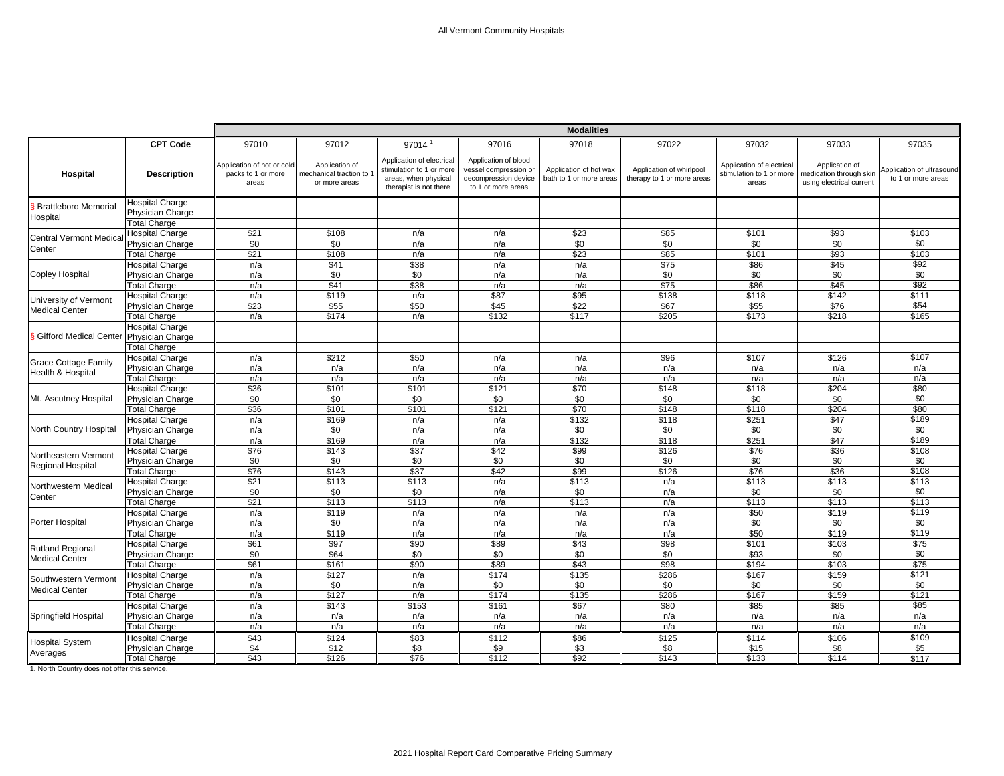|                                                  |                                                                          | <b>Modalities</b>                                         |                                                           |                                                                                                         |                                                                                             |                                                   |                                                        |                                                                |                                                                       |                                                 |
|--------------------------------------------------|--------------------------------------------------------------------------|-----------------------------------------------------------|-----------------------------------------------------------|---------------------------------------------------------------------------------------------------------|---------------------------------------------------------------------------------------------|---------------------------------------------------|--------------------------------------------------------|----------------------------------------------------------------|-----------------------------------------------------------------------|-------------------------------------------------|
|                                                  | <b>CPT Code</b>                                                          | 97010                                                     | 97012                                                     | 97014                                                                                                   | 97016                                                                                       | 97018                                             | 97022                                                  | 97032                                                          | 97033                                                                 | 97035                                           |
| Hospital                                         | <b>Description</b>                                                       | Application of hot or cold<br>packs to 1 or more<br>areas | Application of<br>mechanical traction to<br>or more areas | Application of electrical<br>stimulation to 1 or more<br>areas, when physical<br>therapist is not there | Application of blood<br>vessel compression or<br>decompression device<br>to 1 or more areas | Application of hot wax<br>bath to 1 or more areas | Application of whirlpool<br>therapy to 1 or more areas | Application of electrical<br>stimulation to 1 or more<br>areas | Application of<br>medication through skin<br>using electrical current | Application of ultrasound<br>to 1 or more areas |
| <b>Brattleboro Memorial</b><br>Hospital          | <b>Hospital Charge</b><br>Physician Charge<br><b>Total Charge</b>        |                                                           |                                                           |                                                                                                         |                                                                                             |                                                   |                                                        |                                                                |                                                                       |                                                 |
| <b>Central Vermont Medica</b><br>Center          | <b>Hospital Charge</b><br>Physician Charge<br><b>Total Charge</b>        | \$21<br>\$0<br>$\overline{$21}$                           | \$108<br>\$0<br>\$108                                     | n/a<br>n/a<br>n/a                                                                                       | n/a<br>n/a<br>n/a                                                                           | \$23<br>\$0<br>$\overline{$23}$                   | \$85<br>\$0<br>\$85                                    | \$101<br>\$0<br>\$101                                          | \$93<br>\$0<br>\$93                                                   | \$103<br>\$0<br>\$103                           |
| <b>Copley Hospital</b>                           | <b>Hospital Charge</b><br>Physician Charge<br><b>Total Charge</b>        | n/a<br>n/a<br>n/a                                         | \$41<br>\$0<br>\$41                                       | \$38<br>\$0<br>\$38                                                                                     | n/a<br>n/a<br>n/a                                                                           | n/a<br>n/a<br>n/a                                 | \$75<br>\$0<br>\$75                                    | \$86<br>\$0<br>\$86                                            | $\overline{$45}$<br>\$0<br>\$45                                       | \$92<br>\$0<br>\$92                             |
| University of Vermont<br><b>Medical Center</b>   | <b>Hospital Charge</b><br>Physician Charge<br><b>Total Charge</b>        | n/a<br>\$23<br>n/a                                        | \$119<br>\$55<br>\$174                                    | n/a<br>\$50<br>n/a                                                                                      | \$87<br>\$45<br>\$132                                                                       | $\overline{$95}$<br>\$22<br>\$117                 | \$138<br>\$67<br>\$205                                 | \$118<br>\$55<br>\$173                                         | \$142<br>\$76<br>\$218                                                | \$111<br>\$54<br>\$165                          |
| Gifford Medical Center                           | <b>Hospital Charge</b><br><b>Physician Charge</b><br><b>Total Charge</b> |                                                           |                                                           |                                                                                                         |                                                                                             |                                                   |                                                        |                                                                |                                                                       |                                                 |
| <b>Grace Cottage Family</b><br>Health & Hospital | <b>Hospital Charge</b><br>Physician Charge<br><b>Total Charge</b>        | n/a<br>n/a<br>n/a                                         | \$212<br>n/a<br>n/a                                       | \$50<br>n/a<br>n/a                                                                                      | n/a<br>n/a<br>n/a                                                                           | n/a<br>n/a<br>n/a                                 | \$96<br>n/a<br>n/a                                     | \$107<br>n/a<br>n/a                                            | \$126<br>n/a<br>n/a                                                   | \$107<br>n/a<br>n/a                             |
| Mt. Ascutney Hospital                            | <b>Hospital Charge</b><br>Physician Charge<br><b>Total Charge</b>        | \$36<br>\$0<br>\$36                                       | \$101<br>\$0<br>\$101                                     | \$101<br>\$0<br>\$101                                                                                   | \$121<br>\$0<br>\$121                                                                       | $\overline{$70}$<br>\$0<br>\$70                   | \$148<br>\$0<br>\$148                                  | \$118<br>\$0<br>\$118                                          | \$204<br>\$0<br>\$204                                                 | \$80<br>\$0<br>\$80                             |
| <b>North Country Hospital</b>                    | <b>Hospital Charge</b><br>Physician Charge<br><b>Total Charge</b>        | n/a<br>n/a<br>n/a                                         | \$169<br>\$0<br>\$169                                     | n/a<br>n/a<br>n/a                                                                                       | n/a<br>n/a<br>n/a                                                                           | \$132<br>\$0<br>\$132                             | \$118<br>\$0<br>\$118                                  | \$251<br>\$0<br>\$251                                          | \$47<br>\$0<br>\$47                                                   | \$189<br>\$0<br>\$189                           |
| Northeastern Vermont<br>Regional Hospital        | <b>Hospital Charge</b><br>Physician Charge<br><b>Total Charge</b>        | \$76<br>\$0<br>$\overline{$76}$                           | \$143<br>\$0<br>\$143                                     | \$37<br>\$0<br>$\overline{$37}$                                                                         | \$42<br>\$0<br>\$42                                                                         | \$99<br>\$0<br>\$99                               | \$126<br>\$0<br>\$126                                  | \$76<br>\$0<br>$\overline{$76}$                                | \$36<br>\$0<br>\$36                                                   | \$108<br>\$0<br>\$108                           |
| Northwestern Medical<br>Center                   | <b>Hospital Charge</b><br>Physician Charge<br><b>Total Charge</b>        | \$21<br>\$0<br>$\overline{$21}$                           | \$113<br>\$0<br>\$113                                     | \$113<br>\$0<br>\$113                                                                                   | n/a<br>n/a<br>n/a                                                                           | \$113<br>\$0<br>\$113                             | n/a<br>n/a<br>n/a                                      | \$113<br>\$0<br>\$113                                          | \$113<br>\$0<br>\$113                                                 | \$113<br>\$0<br>\$113                           |
| <b>Porter Hospital</b>                           | <b>Hospital Charge</b><br>Physician Charge<br><b>Total Charge</b>        | n/a<br>n/a<br>n/a                                         | \$119<br>\$0<br>\$119                                     | n/a<br>n/a<br>n/a                                                                                       | n/a<br>n/a<br>n/a                                                                           | n/a<br>n/a<br>n/a                                 | n/a<br>n/a<br>n/a                                      | \$50<br>\$0<br>\$50                                            | \$119<br>\$0<br>\$119                                                 | \$119<br>\$0<br>\$119                           |
| <b>Rutland Regional</b><br><b>Medical Center</b> | <b>Hospital Charge</b><br>Physician Charge<br><b>Total Charge</b>        | \$61<br>\$0<br>\$61                                       | \$97<br>\$64<br>\$161                                     | \$90<br>\$0<br>\$90                                                                                     | \$89<br>\$0<br>\$89                                                                         | \$43<br>\$0<br>\$43                               | \$98<br>\$0<br>\$98                                    | \$101<br>\$93<br>\$194                                         | \$103<br>\$0<br>\$103                                                 | $\overline{$75}$<br>\$0<br>$\overline{$}75$     |
| Southwestern Vermont<br><b>Medical Center</b>    | Hospital Charge<br>Physician Charge<br><b>Total Charge</b>               | n/a<br>n/a<br>n/a                                         | \$127<br>\$0<br>\$127                                     | n/a<br>n/a<br>n/a                                                                                       | \$174<br>\$0<br>\$174                                                                       | \$135<br>\$0<br>\$135                             | \$286<br>\$0<br>\$286                                  | \$167<br>\$0<br>\$167                                          | \$159<br>\$0<br>\$159                                                 | \$121<br>\$0<br>\$121                           |
| Springfield Hospital                             | <b>Hospital Charge</b><br>Physician Charge<br><b>Total Charge</b>        | n/a<br>n/a<br>n/a                                         | \$143<br>n/a<br>n/a                                       | \$153<br>n/a<br>n/a                                                                                     | \$161<br>n/a<br>n/a                                                                         | \$67<br>n/a<br>n/a                                | \$80<br>n/a<br>n/a                                     | \$85<br>n/a<br>n/a                                             | \$85<br>n/a<br>n/a                                                    | \$85<br>n/a<br>n/a                              |
| <b>Hospital System</b><br>Averages               | <b>Hospital Charge</b><br>Physician Charge<br><b>Total Charge</b>        | \$43<br>\$4<br>\$43                                       | \$124<br>\$12<br>\$126                                    | \$83<br>\$8<br>\$76                                                                                     | \$112<br>\$9<br>\$112                                                                       | \$86<br>\$3<br>\$92                               | \$125<br>\$8<br>\$143                                  | \$114<br>\$15<br>\$133                                         | \$106<br>\$8<br>\$114                                                 | \$109<br>\$5<br>\$117                           |

1. North Country does not offer this service.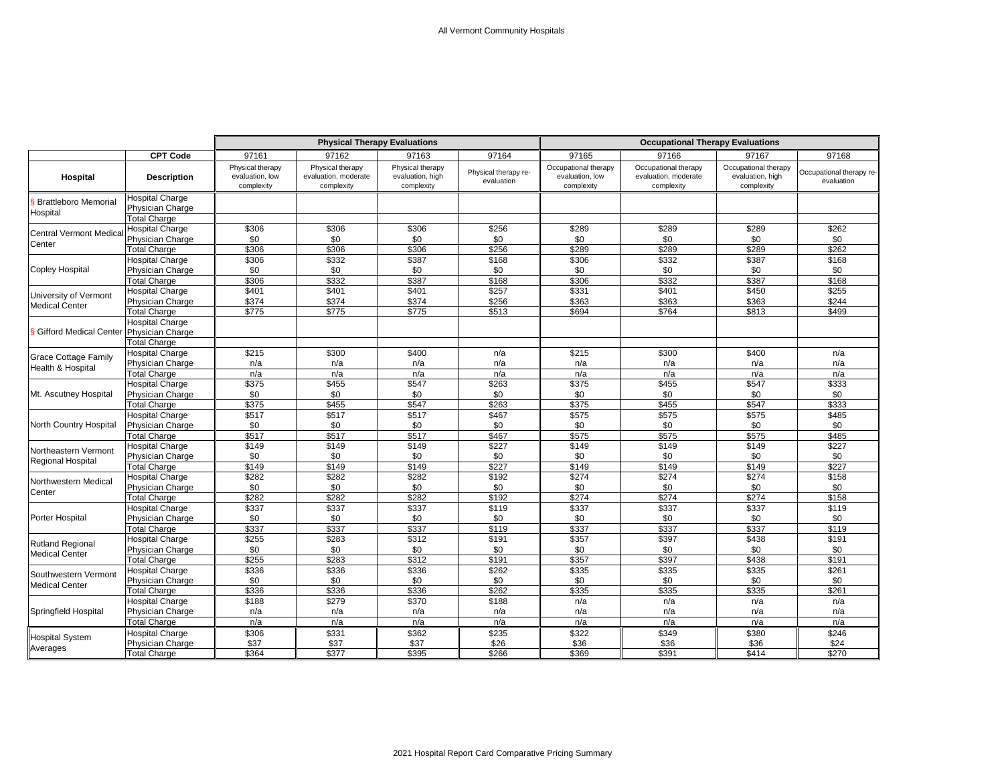|                                                  | <b>CPT Code</b>                                                                          |                                                   |                                                        |                                                    |                                    | <b>Occupational Therapy Evaluations</b>               |                                                            |                                                        |                                        |  |
|--------------------------------------------------|------------------------------------------------------------------------------------------|---------------------------------------------------|--------------------------------------------------------|----------------------------------------------------|------------------------------------|-------------------------------------------------------|------------------------------------------------------------|--------------------------------------------------------|----------------------------------------|--|
|                                                  |                                                                                          | 97161                                             | 97162                                                  | 97163                                              | 97164                              | 97165                                                 | 97166                                                      | 97167                                                  | 97168                                  |  |
| Hospital                                         | <b>Description</b>                                                                       | Physical therapy<br>evaluation, low<br>complexity | Physical therapy<br>evaluation, moderate<br>complexity | Physical therapy<br>evaluation, high<br>complexity | Physical therapy re-<br>evaluation | Occupational therapy<br>evaluation, low<br>complexity | Occupational therapy<br>evaluation, moderate<br>complexity | Occupational therapy<br>evaluation, high<br>complexity | Occupational therapy re-<br>evaluation |  |
| <b>Brattleboro Memorial</b><br>Hospital          | <b>Hospital Charge</b><br>Physician Charge<br><b>Total Charge</b>                        |                                                   |                                                        |                                                    |                                    |                                                       |                                                            |                                                        |                                        |  |
| <b>Central Vermont Medica</b>                    | <b>Hospital Charge</b><br>Physician Charge                                               | \$306<br>\$0                                      | \$306<br>\$0                                           | \$306<br>\$0                                       | \$256<br>\$0                       | \$289<br>\$0                                          | \$289<br>\$0                                               | \$289<br>\$0                                           | \$262<br>\$0                           |  |
| Center                                           | <b>Total Charge</b><br><b>Hospital Charge</b>                                            | \$306<br>\$306                                    | \$306<br>\$332                                         | \$306<br>\$387                                     | \$256<br>\$168                     | \$289<br>\$306                                        | \$289<br>\$332                                             | \$289<br>\$387                                         | \$262<br>\$168                         |  |
| Copley Hospital                                  | Physician Charge<br><b>Total Charge</b>                                                  | \$0<br>\$306                                      | \$0<br>\$332                                           | \$0<br>\$387                                       | \$0<br>\$168                       | \$0<br>\$306                                          | \$0<br>\$332                                               | \$0<br>\$387                                           | \$0<br>\$168                           |  |
| University of Vermont<br><b>Medical Center</b>   | <b>Hospital Charge</b><br>Physician Charge<br><b>Total Charge</b>                        | \$401<br>\$374<br>\$775                           | \$401<br>\$374<br>\$775                                | \$401<br>\$374<br>\$775                            | \$257<br>\$256<br>\$513            | \$331<br>\$363<br>\$694                               | \$401<br>\$363<br>\$764                                    | \$450<br>\$363<br>\$813                                | \$255<br>\$244<br>\$499                |  |
| S Gifford Medical Center                         | <b>Hospital Charge</b><br>Physician Charge<br><b>Total Charge</b>                        |                                                   |                                                        |                                                    |                                    |                                                       |                                                            |                                                        |                                        |  |
| <b>Grace Cottage Family</b><br>Health & Hospital | <b>Hospital Charge</b><br>Physician Charge                                               | \$215<br>n/a                                      | \$300<br>n/a                                           | \$400<br>n/a                                       | n/a<br>n/a                         | \$215<br>n/a                                          | \$300<br>n/a                                               | \$400<br>n/a                                           | n/a<br>n/a                             |  |
| Mt. Ascutney Hospital                            | <b>Total Charge</b><br><b>Hospital Charge</b><br>Physician Charge                        | n/a<br>\$375<br>\$0                               | n/a<br>\$455<br>\$0                                    | n/a<br>\$547<br>\$0                                | n/a<br>\$263<br>\$0                | n/a<br>\$375<br>\$0                                   | n/a<br>\$455<br>\$0                                        | n/a<br>\$547<br>\$0                                    | n/a<br>\$333<br>\$0                    |  |
|                                                  | <b>Total Charge</b><br><b>Hospital Charge</b>                                            | \$375<br>\$517                                    | \$455<br>\$517                                         | \$547<br>\$517                                     | \$263<br>\$467                     | \$375<br>\$575                                        | \$455<br>\$575                                             | \$547<br>\$575                                         | \$333<br>\$485                         |  |
| North Country Hospital                           | Physician Charge<br><b>Total Charge</b><br><b>Hospital Charge</b>                        | \$0<br>\$517<br>\$149                             | \$0<br>\$517<br>\$149                                  | \$0<br>\$517<br>\$149                              | \$0<br>\$467<br>\$227              | \$0<br>\$575<br>\$149                                 | \$0<br>\$575<br>\$149                                      | \$0<br>\$575<br>\$149                                  | \$0<br>\$485<br>\$227                  |  |
| Northeastern Vermont<br><b>Regional Hospital</b> | Physician Charge<br><b>Total Charge</b>                                                  | \$0<br>\$149                                      | \$0<br>\$149                                           | \$0<br>\$149                                       | \$0<br>\$227                       | \$0<br>\$149                                          | \$0<br>\$149                                               | \$0<br>\$149                                           | \$0<br>\$227                           |  |
| Northwestern Medical<br>Center                   | <b>Hospital Charge</b><br>Physician Charge<br><b>Total Charge</b>                        | \$282<br>\$0<br>\$282                             | \$282<br>\$0<br>\$282                                  | \$282<br>\$0<br>\$282                              | \$192<br>\$0<br>\$192              | \$274<br>\$0<br>\$274                                 | \$274<br>\$0<br>\$274                                      | \$274<br>\$0<br>\$274                                  | \$158<br>\$0<br>\$158                  |  |
| Porter Hospital                                  | <b>Hospital Charge</b><br>Physician Charge<br><b>Total Charge</b>                        | \$337<br>\$0<br>\$337                             | \$337<br>\$0<br>\$337                                  | \$337<br>\$0<br>\$337                              | \$119<br>\$0<br>\$119              | \$337<br>\$0<br>\$337                                 | \$337<br>\$0<br>\$337                                      | \$337<br>\$0<br>\$337                                  | \$119<br>\$0<br>\$119                  |  |
| <b>Rutland Regional</b><br><b>Medical Center</b> | <b>Hospital Charge</b><br>Physician Charge<br><b>Total Charge</b>                        | \$255<br>\$0<br>\$255                             | \$283<br>\$0<br>\$283                                  | \$312<br>\$0<br>\$312                              | \$191<br>\$0<br>\$191              | \$357<br>\$0<br>\$357                                 | \$397<br>\$0<br>\$397                                      | \$438<br>\$0<br>\$438                                  | \$191<br>\$0<br>\$191                  |  |
| Southwestern Vermont<br><b>Medical Center</b>    | Hospital Charge<br>Physician Charge                                                      | \$336<br>\$0<br>\$336                             | \$336<br>\$0<br>\$336                                  | \$336<br>\$0<br>\$336                              | \$262<br>\$0<br>\$262              | \$335<br>\$0<br>\$335                                 | \$335<br>\$0<br>\$335                                      | \$335<br>\$0<br>\$335                                  | \$261<br>\$0<br>\$261                  |  |
| Springfield Hospital                             | Total Charge<br><b>Hospital Charge</b><br>Physician Charge                               | \$188<br>n/a                                      | \$279<br>n/a                                           | \$370<br>n/a<br>n/a                                | \$188<br>n/a                       | n/a<br>n/a                                            | n/a<br>n/a<br>n/a                                          | n/a<br>n/a<br>n/a                                      | n/a<br>n/a                             |  |
| <b>Hospital System</b><br>Averages               | <b>Total Charge</b><br><b>Hospital Charge</b><br>Physician Charge<br><b>Total Charge</b> | n/a<br>\$306<br>\$37<br>\$364                     | n/a<br>\$331<br>\$37<br>\$377                          | \$362<br>\$37<br>\$395                             | n/a<br>\$235<br>\$26<br>\$266      | n/a<br>\$322<br>\$36<br>\$369                         | \$349<br>\$36<br>\$391                                     | \$380<br>\$36<br>\$414                                 | n/a<br>\$246<br>\$24<br>\$270          |  |